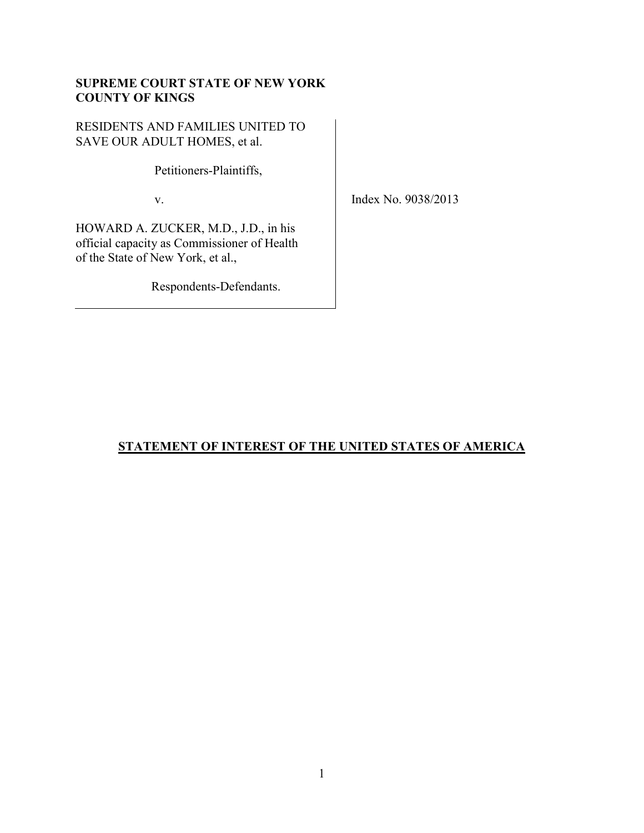# **SUPREME COURT STATE OF NEW YORK COUNTY OF KINGS**

RESIDENTS AND FAMILIES UNITED TO SAVE OUR ADULT HOMES, et al.

Petitioners-Plaintiffs,

v.

Index No. 9038/2013

HOWARD A. ZUCKER, M.D., J.D., in his official capacity as Commissioner of Health of the State of New York, et al.,

Respondents-Defendants.

# **STATEMENT OF INTEREST OF THE UNITED STATES OF AMERICA**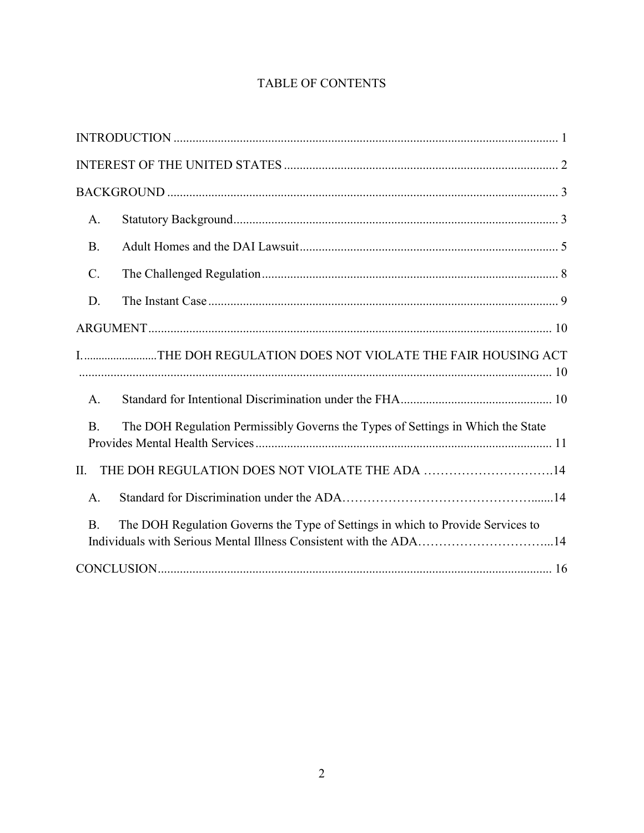# TABLE OF CONTENTS

| A.              |                                                                                                                                                      |
|-----------------|------------------------------------------------------------------------------------------------------------------------------------------------------|
| <b>B.</b>       |                                                                                                                                                      |
| $\mathcal{C}$ . |                                                                                                                                                      |
| D.              |                                                                                                                                                      |
|                 |                                                                                                                                                      |
|                 | I. THE DOH REGULATION DOES NOT VIOLATE THE FAIR HOUSING ACT                                                                                          |
| A.              |                                                                                                                                                      |
| <b>B.</b>       | The DOH Regulation Permissibly Governs the Types of Settings in Which the State                                                                      |
| II.             | THE DOH REGULATION DOES NOT VIOLATE THE ADA 14                                                                                                       |
| A.              |                                                                                                                                                      |
| <b>B.</b>       | The DOH Regulation Governs the Type of Settings in which to Provide Services to<br>Individuals with Serious Mental Illness Consistent with the ADA14 |
|                 |                                                                                                                                                      |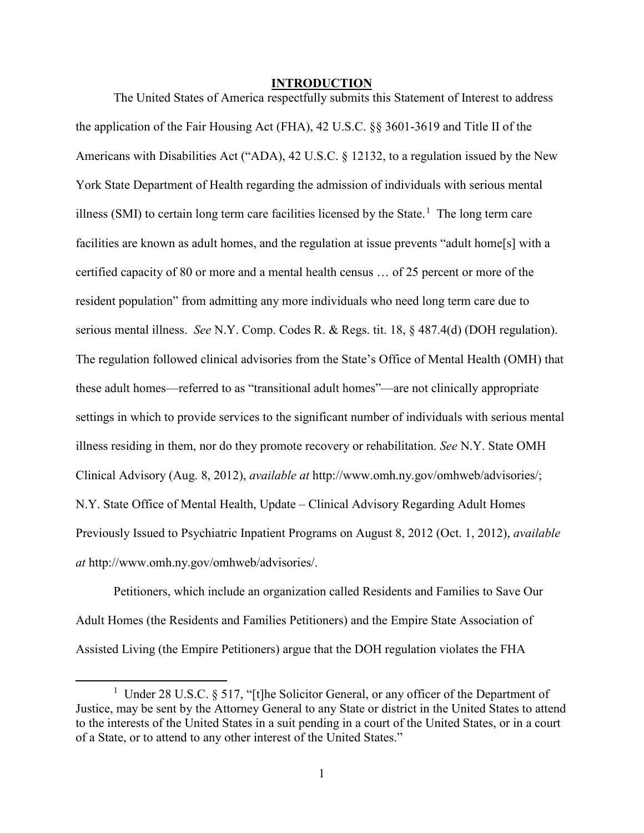## **INTRODUCTION**

<span id="page-2-0"></span>The United States of America respectfully submits this Statement of Interest to address the application of the Fair Housing Act (FHA), 42 U.S.C. §§ 3601-3619 and Title II of the Americans with Disabilities Act ("ADA), 42 U.S.C. § 12132, to a regulation issued by the New York State Department of Health regarding the admission of individuals with serious mental illness (SMI) to certain long term care facilities licensed by the State.<sup>[1](#page-2-1)</sup> The long term care facilities are known as adult homes, and the regulation at issue prevents "adult home[s] with a certified capacity of 80 or more and a mental health census … of 25 percent or more of the resident population" from admitting any more individuals who need long term care due to serious mental illness. *See* N.Y. Comp. Codes R. & Regs. tit. 18, § 487.4(d) (DOH regulation). The regulation followed clinical advisories from the State's Office of Mental Health (OMH) that these adult homes—referred to as "transitional adult homes"—are not clinically appropriate settings in which to provide services to the significant number of individuals with serious mental illness residing in them, nor do they promote recovery or rehabilitation. *See* N.Y. State OMH Clinical Advisory (Aug. 8, 2012), *available at* http://www.omh.ny.gov/omhweb/advisories/; N.Y. State Office of Mental Health, Update – Clinical Advisory Regarding Adult Homes Previously Issued to Psychiatric Inpatient Programs on August 8, 2012 (Oct. 1, 2012), *available at* http://www.omh.ny.gov/omhweb/advisories/.

Petitioners, which include an organization called Residents and Families to Save Our Adult Homes (the Residents and Families Petitioners) and the Empire State Association of Assisted Living (the Empire Petitioners) argue that the DOH regulation violates the FHA

<span id="page-2-1"></span><sup>&</sup>lt;u>1</u> <sup>1</sup> Under 28 U.S.C. § 517, "[t]he Solicitor General, or any officer of the Department of Justice, may be sent by the Attorney General to any State or district in the United States to attend to the interests of the United States in a suit pending in a court of the United States, or in a court of a State, or to attend to any other interest of the United States."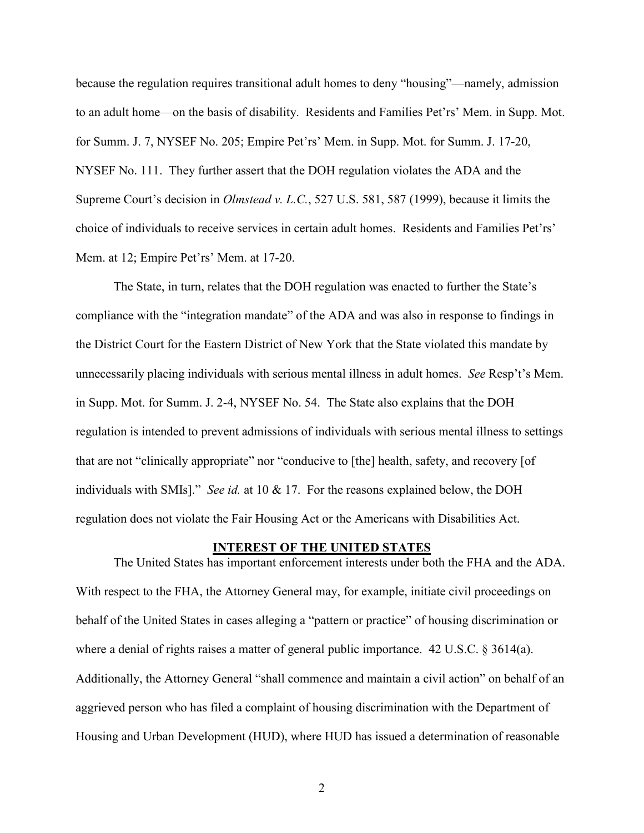because the regulation requires transitional adult homes to deny "housing"—namely, admission to an adult home—on the basis of disability. Residents and Families Pet'rs' Mem. in Supp. Mot. for Summ. J. 7, NYSEF No. 205; Empire Pet'rs' Mem. in Supp. Mot. for Summ. J. 17-20, NYSEF No. 111. They further assert that the DOH regulation violates the ADA and the Supreme Court's decision in *Olmstead v. L.C.*, 527 U.S. 581, 587 (1999), because it limits the choice of individuals to receive services in certain adult homes. Residents and Families Pet'rs' Mem. at 12; Empire Pet'rs' Mem. at 17-20.

The State, in turn, relates that the DOH regulation was enacted to further the State's compliance with the "integration mandate" of the ADA and was also in response to findings in the District Court for the Eastern District of New York that the State violated this mandate by unnecessarily placing individuals with serious mental illness in adult homes. *See* Resp't's Mem. in Supp. Mot. for Summ. J. 2-4, NYSEF No. 54. The State also explains that the DOH regulation is intended to prevent admissions of individuals with serious mental illness to settings that are not "clinically appropriate" nor "conducive to [the] health, safety, and recovery [of individuals with SMIs]." *See id.* at 10 & 17. For the reasons explained below, the DOH regulation does not violate the Fair Housing Act or the Americans with Disabilities Act.

#### **INTEREST OF THE UNITED STATES**

<span id="page-3-0"></span>The United States has important enforcement interests under both the FHA and the ADA. With respect to the FHA, the Attorney General may, for example, initiate civil proceedings on behalf of the United States in cases alleging a "pattern or practice" of housing discrimination or where a denial of rights raises a matter of general public importance. 42 U.S.C. § 3614(a). Additionally, the Attorney General "shall commence and maintain a civil action" on behalf of an aggrieved person who has filed a complaint of housing discrimination with the Department of Housing and Urban Development (HUD), where HUD has issued a determination of reasonable

2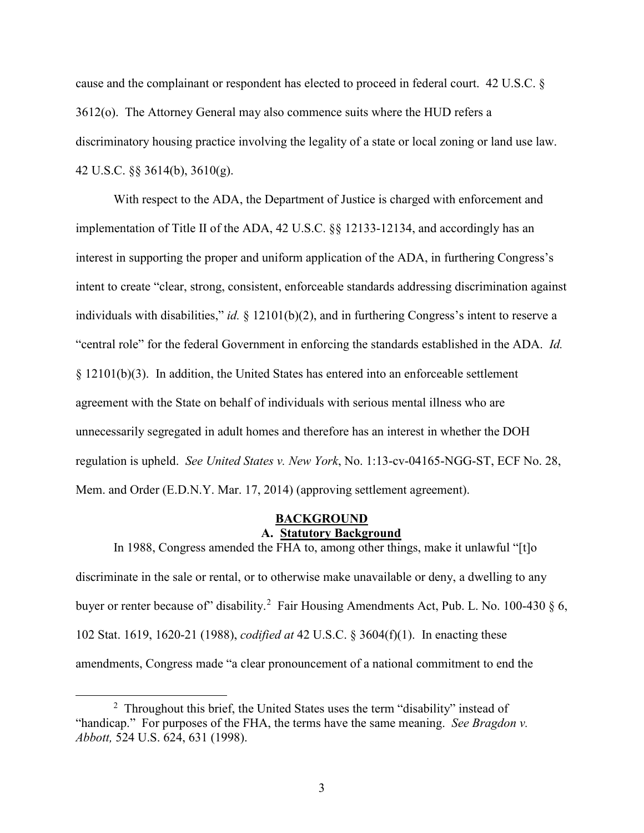cause and the complainant or respondent has elected to proceed in federal court. 42 U.S.C. § 3612(o). The Attorney General may also commence suits where the HUD refers a discriminatory housing practice involving the legality of a state or local zoning or land use law. 42 U.S.C. §§ 3614(b), 3610(g).

With respect to the ADA, the Department of Justice is charged with enforcement and implementation of Title II of the ADA, 42 U.S.C. §§ 12133-12134, and accordingly has an interest in supporting the proper and uniform application of the ADA, in furthering Congress's intent to create "clear, strong, consistent, enforceable standards addressing discrimination against individuals with disabilities," *id.* § 12101(b)(2), and in furthering Congress's intent to reserve a "central role" for the federal Government in enforcing the standards established in the ADA. *Id.* § 12101(b)(3). In addition, the United States has entered into an enforceable settlement agreement with the State on behalf of individuals with serious mental illness who are unnecessarily segregated in adult homes and therefore has an interest in whether the DOH regulation is upheld. *See United States v. New York*, No. 1:13-cv-04165-NGG-ST, ECF No. 28, Mem. and Order (E.D.N.Y. Mar. 17, 2014) (approving settlement agreement).

# **BACKGROUND A. Statutory Background**

<span id="page-4-1"></span><span id="page-4-0"></span>In 1988, Congress amended the FHA to, among other things, make it unlawful "[t]o discriminate in the sale or rental, or to otherwise make unavailable or deny, a dwelling to any buyer or renter because of" disability.<sup>[2](#page-4-2)</sup> Fair Housing Amendments Act, Pub. L. No. 100-430 § 6, 102 Stat. 1619, 1620-21 (1988), *codified at* 42 U.S.C. § 3604(f)(1). In enacting these amendments, Congress made "a clear pronouncement of a national commitment to end the

<span id="page-4-2"></span> <sup>2</sup> <sup>2</sup> Throughout this brief, the United States uses the term "disability" instead of "handicap." For purposes of the FHA, the terms have the same meaning. *See Bragdon v. Abbott,* 524 U.S. 624, 631 (1998).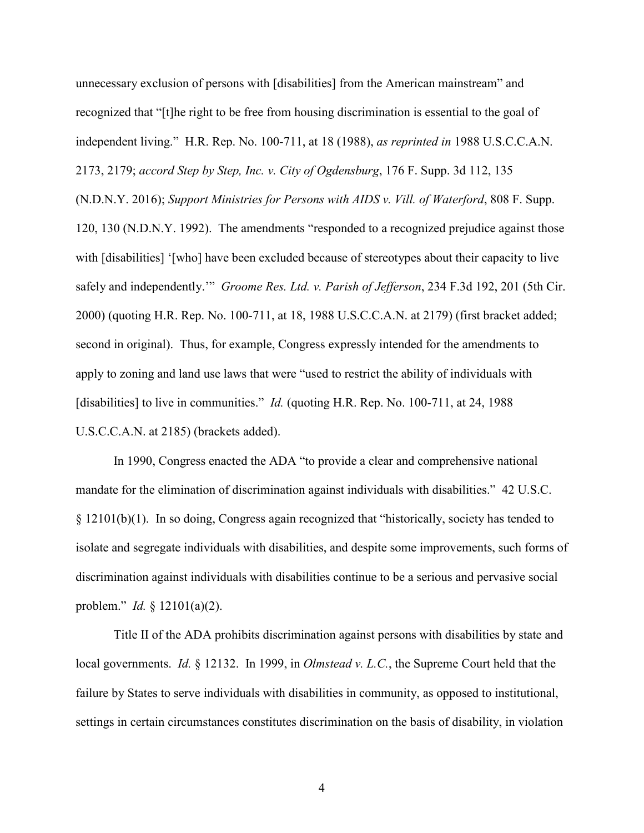unnecessary exclusion of persons with [disabilities] from the American mainstream" and recognized that "[t]he right to be free from housing discrimination is essential to the goal of independent living." H.R. Rep. No. 100-711, at 18 (1988), *as reprinted in* 1988 U.S.C.C.A.N. 2173, 2179; *accord Step by Step, Inc. v. City of Ogdensburg*, 176 F. Supp. 3d 112, 135 (N.D.N.Y. 2016); *Support Ministries for Persons with AIDS v. Vill. of Waterford*, 808 F. Supp. 120, 130 (N.D.N.Y. 1992). The amendments "responded to a recognized prejudice against those with [disabilities] '[who] have been excluded because of stereotypes about their capacity to live safely and independently.'" *Groome Res. Ltd. v. Parish of Jefferson*, 234 F.3d 192, 201 (5th Cir. 2000) (quoting H.R. Rep. No. 100-711, at 18, 1988 U.S.C.C.A.N. at 2179) (first bracket added; second in original). Thus, for example, Congress expressly intended for the amendments to apply to zoning and land use laws that were "used to restrict the ability of individuals with [disabilities] to live in communities." *Id.* (quoting H.R. Rep. No. 100-711, at 24, 1988 U.S.C.C.A.N. at 2185) (brackets added).

In 1990, Congress enacted the ADA "to provide a clear and comprehensive national mandate for the elimination of discrimination against individuals with disabilities." 42 U.S.C. § 12101(b)(1). In so doing, Congress again recognized that "historically, society has tended to isolate and segregate individuals with disabilities, and despite some improvements, such forms of discrimination against individuals with disabilities continue to be a serious and pervasive social problem." *Id.* § 12101(a)(2).

Title II of the ADA prohibits discrimination against persons with disabilities by state and local governments. *Id.* § 12132. In 1999, in *Olmstead v. L.C.*, the Supreme Court held that the failure by States to serve individuals with disabilities in community, as opposed to institutional, settings in certain circumstances constitutes discrimination on the basis of disability, in violation

4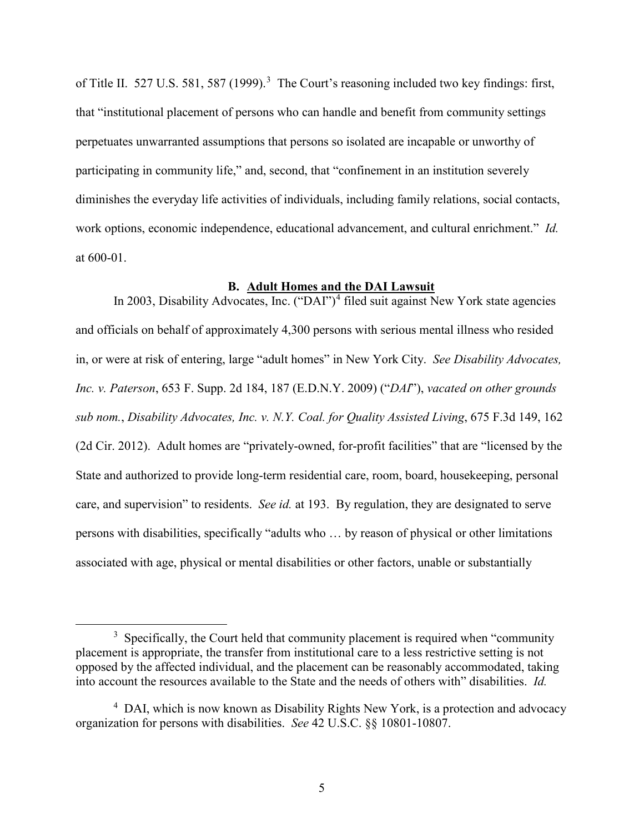of Title II. 527 U.S. 581, 587 (1999).<sup>[3](#page-6-1)</sup> The Court's reasoning included two key findings: first, that "institutional placement of persons who can handle and benefit from community settings perpetuates unwarranted assumptions that persons so isolated are incapable or unworthy of participating in community life," and, second, that "confinement in an institution severely diminishes the everyday life activities of individuals, including family relations, social contacts, work options, economic independence, educational advancement, and cultural enrichment." *Id.* at 600-01.

## **B. Adult Homes and the DAI Lawsuit**

<span id="page-6-0"></span>In 2003, Disability Advocates, Inc. ("DAI")<sup>[4](#page-6-2)</sup> filed suit against New York state agencies and officials on behalf of approximately 4,300 persons with serious mental illness who resided in, or were at risk of entering, large "adult homes" in New York City. *See Disability Advocates, Inc. v. Paterson*, 653 F. Supp. 2d 184, 187 (E.D.N.Y. 2009) ("*DAI*"), *vacated on other grounds sub nom.*, *Disability Advocates, Inc. v. N.Y. Coal. for Quality Assisted Living*, 675 F.3d 149, 162 (2d Cir. 2012). Adult homes are "privately-owned, for-profit facilities" that are "licensed by the State and authorized to provide long-term residential care, room, board, housekeeping, personal care, and supervision" to residents. *See id.* at 193. By regulation, they are designated to serve persons with disabilities, specifically "adults who … by reason of physical or other limitations associated with age, physical or mental disabilities or other factors, unable or substantially

<span id="page-6-1"></span> $\overline{\phantom{a}}$  3  $3$  Specifically, the Court held that community placement is required when "community" placement is appropriate, the transfer from institutional care to a less restrictive setting is not opposed by the affected individual, and the placement can be reasonably accommodated, taking into account the resources available to the State and the needs of others with" disabilities. *Id.*

<span id="page-6-2"></span><sup>&</sup>lt;sup>4</sup> DAI, which is now known as Disability Rights New York, is a protection and advocacy organization for persons with disabilities. *See* 42 U.S.C. §§ 10801-10807.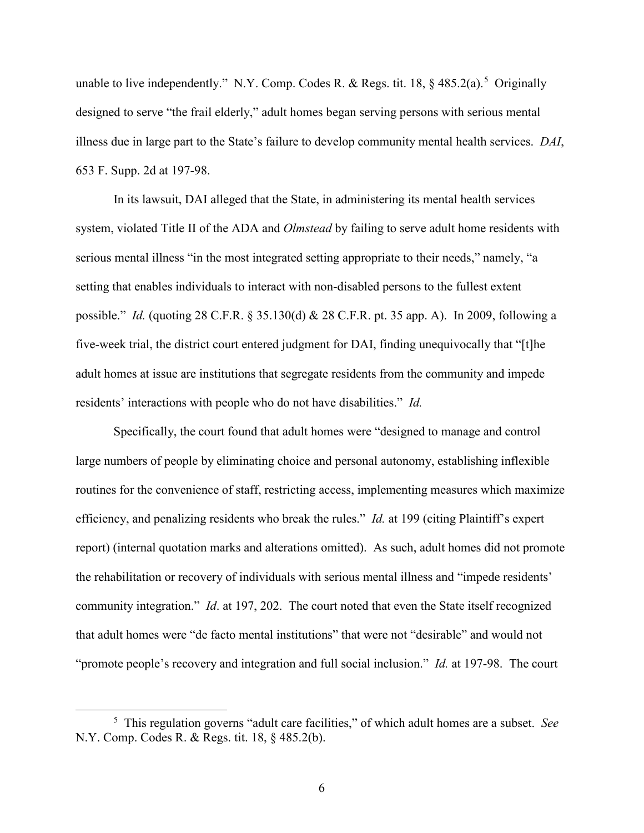unable to live independently." N.Y. Comp. Codes R. & Regs. tit. 18,  $\S$  48[5](#page-7-0).2(a).<sup>5</sup> Originally designed to serve "the frail elderly," adult homes began serving persons with serious mental illness due in large part to the State's failure to develop community mental health services. *DAI*, 653 F. Supp. 2d at 197-98.

In its lawsuit, DAI alleged that the State, in administering its mental health services system, violated Title II of the ADA and *Olmstead* by failing to serve adult home residents with serious mental illness "in the most integrated setting appropriate to their needs," namely, "a setting that enables individuals to interact with non-disabled persons to the fullest extent possible." *Id.* (quoting 28 C.F.R. § 35.130(d) & 28 C.F.R. pt. 35 app. A). In 2009, following a five-week trial, the district court entered judgment for DAI, finding unequivocally that "[t]he adult homes at issue are institutions that segregate residents from the community and impede residents' interactions with people who do not have disabilities." *Id.*

Specifically, the court found that adult homes were "designed to manage and control large numbers of people by eliminating choice and personal autonomy, establishing inflexible routines for the convenience of staff, restricting access, implementing measures which maximize efficiency, and penalizing residents who break the rules." *Id.* at 199 (citing Plaintiff's expert report) (internal quotation marks and alterations omitted). As such, adult homes did not promote the rehabilitation or recovery of individuals with serious mental illness and "impede residents' community integration." *Id*. at 197, 202. The court noted that even the State itself recognized that adult homes were "de facto mental institutions" that were not "desirable" and would not "promote people's recovery and integration and full social inclusion." *Id.* at 197-98. The court

<span id="page-7-0"></span> $\frac{1}{5}$  This regulation governs "adult care facilities," of which adult homes are a subset. *See* N.Y. Comp. Codes R. & Regs. tit. 18, § 485.2(b).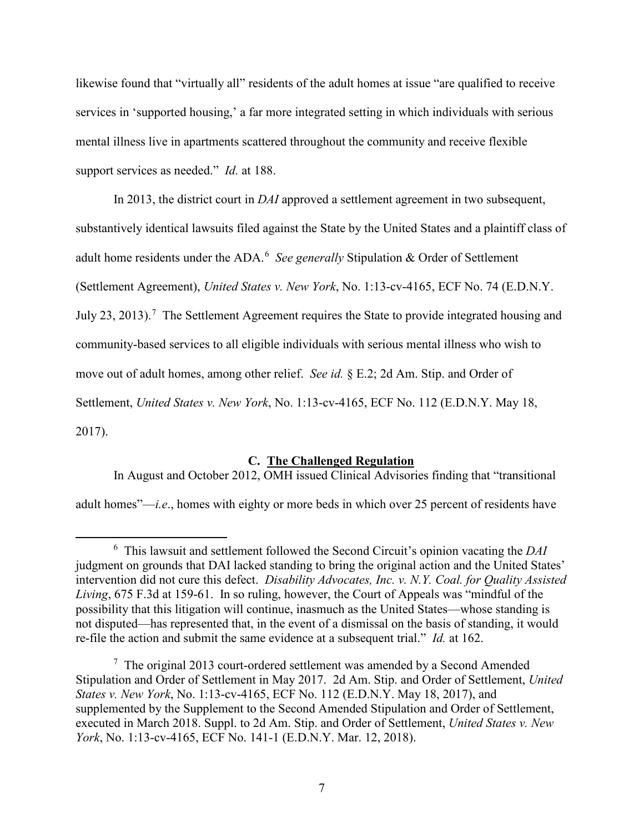likewise found that "virtually all" residents of the adult homes at issue "are qualified to receive services in 'supported housing,' a far more integrated setting in which individuals with serious mental illness live in apartments scattered throughout the community and receive flexible support services as needed." *Id.* at 188.

In 2013, the district court in *DAI* approved a settlement agreement in two subsequent, substantively identical lawsuits filed against the State by the United States and a plaintiff class of adult home residents under the ADA.<sup>[6](#page-8-1)</sup> See generally Stipulation & Order of Settlement (Settlement Agreement), *United States v. New York*, No. 1:13-cv-4165, ECF No. 74 (E.D.N.Y. July 23, 2013).<sup>[7](#page-8-2)</sup> The Settlement Agreement requires the State to provide integrated housing and community-based services to all eligible individuals with serious mental illness who wish to move out of adult homes, among other relief. *See id.* § E.2; 2d Am. Stip. and Order of Settlement, *United States v. New York*, No. 1:13-cv-4165, ECF No. 112 (E.D.N.Y. May 18, 2017).

### **C. The Challenged Regulation**

<span id="page-8-0"></span>In August and October 2012, OMH issued Clinical Advisories finding that "transitional

adult homes"—*i.e*., homes with eighty or more beds in which over 25 percent of residents have

<span id="page-8-1"></span> $\overline{\phantom{0}}$  This lawsuit and settlement followed the Second Circuit's opinion vacating the *DAI* judgment on grounds that DAI lacked standing to bring the original action and the United States' intervention did not cure this defect. *Disability Advocates, Inc. v. N.Y. Coal. for Quality Assisted Living*, 675 F.3d at 159-61. In so ruling, however, the Court of Appeals was "mindful of the possibility that this litigation will continue, inasmuch as the United States—whose standing is not disputed—has represented that, in the event of a dismissal on the basis of standing, it would re-file the action and submit the same evidence at a subsequent trial." *Id.* at 162.

<span id="page-8-2"></span> $7$  The original 2013 court-ordered settlement was amended by a Second Amended Stipulation and Order of Settlement in May 2017. 2d Am. Stip. and Order of Settlement, *United States v. New York*, No. 1:13-cv-4165, ECF No. 112 (E.D.N.Y. May 18, 2017), and supplemented by the Supplement to the Second Amended Stipulation and Order of Settlement, executed in March 2018. Suppl. to 2d Am. Stip. and Order of Settlement, *United States v. New York*, No. 1:13-cv-4165, ECF No. 141-1 (E.D.N.Y. Mar. 12, 2018).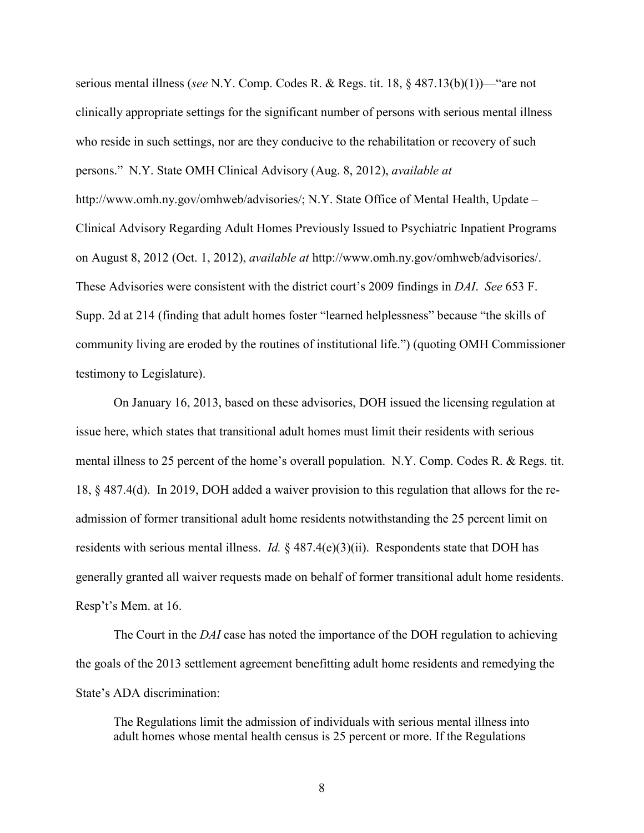serious mental illness (*see* N.Y. Comp. Codes R. & Regs. tit. 18, § 487.13(b)(1))—"are not clinically appropriate settings for the significant number of persons with serious mental illness who reside in such settings, nor are they conducive to the rehabilitation or recovery of such persons." N.Y. State OMH Clinical Advisory (Aug. 8, 2012), *available at* http://www.omh.ny.gov/omhweb/advisories/; N.Y. State Office of Mental Health, Update – Clinical Advisory Regarding Adult Homes Previously Issued to Psychiatric Inpatient Programs on August 8, 2012 (Oct. 1, 2012), *available at* http://www.omh.ny.gov/omhweb/advisories/. These Advisories were consistent with the district court's 2009 findings in *DAI*. *See* 653 F. Supp. 2d at 214 (finding that adult homes foster "learned helplessness" because "the skills of community living are eroded by the routines of institutional life.") (quoting OMH Commissioner testimony to Legislature).

On January 16, 2013, based on these advisories, DOH issued the licensing regulation at issue here, which states that transitional adult homes must limit their residents with serious mental illness to 25 percent of the home's overall population. N.Y. Comp. Codes R. & Regs. tit. 18, § 487.4(d). In 2019, DOH added a waiver provision to this regulation that allows for the readmission of former transitional adult home residents notwithstanding the 25 percent limit on residents with serious mental illness. *Id.* § 487.4(e)(3)(ii). Respondents state that DOH has generally granted all waiver requests made on behalf of former transitional adult home residents. Resp't's Mem. at 16.

The Court in the *DAI* case has noted the importance of the DOH regulation to achieving the goals of the 2013 settlement agreement benefitting adult home residents and remedying the State's ADA discrimination:

The Regulations limit the admission of individuals with serious mental illness into adult homes whose mental health census is 25 percent or more. If the Regulations

8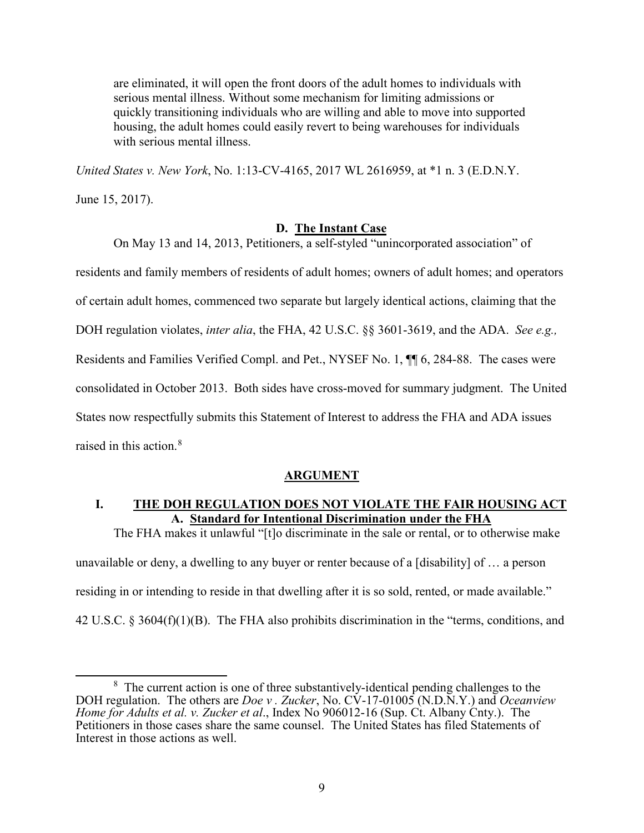are eliminated, it will open the front doors of the adult homes to individuals with serious mental illness. Without some mechanism for limiting admissions or quickly transitioning individuals who are willing and able to move into supported housing, the adult homes could easily revert to being warehouses for individuals with serious mental illness.

*United States v. New York*, No. 1:13-CV-4165, 2017 WL 2616959, at \*1 n. 3 (E.D.N.Y.

June 15, 2017).

## **D. The Instant Case**

<span id="page-10-0"></span>On May 13 and 14, 2013, Petitioners, a self-styled "unincorporated association" of residents and family members of residents of adult homes; owners of adult homes; and operators of certain adult homes, commenced two separate but largely identical actions, claiming that the DOH regulation violates, *inter alia*, the FHA, 42 U.S.C. §§ 3601-3619, and the ADA. *See e.g.,*  Residents and Families Verified Compl. and Pet., NYSEF No. 1, ¶¶ 6, 284-88. The cases were consolidated in October 2013. Both sides have cross-moved for summary judgment. The United States now respectfully submits this Statement of Interest to address the FHA and ADA issues raised in this action.<sup>[8](#page-10-4)</sup>

## **ARGUMENT**

# <span id="page-10-2"></span><span id="page-10-1"></span>**I. THE DOH REGULATION DOES NOT VIOLATE THE FAIR HOUSING ACT A. Standard for Intentional Discrimination under the FHA**

<span id="page-10-3"></span>The FHA makes it unlawful "[t]o discriminate in the sale or rental, or to otherwise make unavailable or deny, a dwelling to any buyer or renter because of a [disability] of … a person residing in or intending to reside in that dwelling after it is so sold, rented, or made available." 42 U.S.C. § 3604(f)(1)(B). The FHA also prohibits discrimination in the "terms, conditions, and

<span id="page-10-4"></span> <sup>8</sup>  $8\text{ The current action is one of three substantially-identical pending challenges to the$ DOH regulation. The others are *Doe v. Zucker*, No. CV-17-01005 (N.D.N.Y.) and *Oceanview Home for Adults et al. v. Zucker et al*., Index No 906012-16 (Sup. Ct. Albany Cnty.). The Petitioners in those cases share the same counsel. The United States has filed Statements of Interest in those actions as well.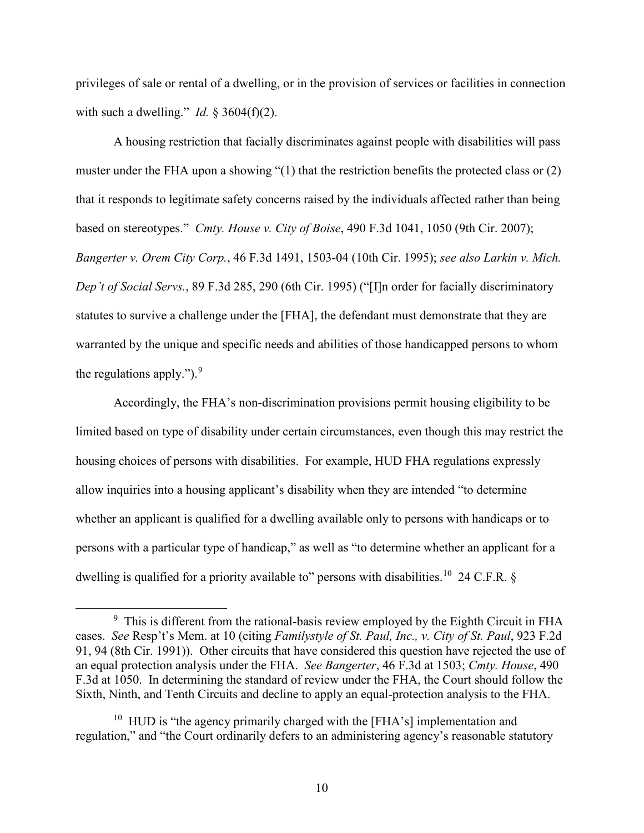privileges of sale or rental of a dwelling, or in the provision of services or facilities in connection with such a dwelling." *Id.*  $\S 3604(f)(2)$ .

A housing restriction that facially discriminates against people with disabilities will pass muster under the FHA upon a showing "(1) that the restriction benefits the protected class or (2) that it responds to legitimate safety concerns raised by the individuals affected rather than being based on stereotypes." *Cmty. House v. City of Boise*, 490 F.3d 1041, 1050 (9th Cir. 2007); *Bangerter v. Orem City Corp.*, 46 F.3d 1491, 1503-04 (10th Cir. 1995); *see also Larkin v. Mich. Dep't of Social Servs.*, 89 F.3d 285, 290 (6th Cir. 1995) ("[I]n order for facially discriminatory statutes to survive a challenge under the [FHA], the defendant must demonstrate that they are warranted by the unique and specific needs and abilities of those handicapped persons to whom the regulations apply."). $9$ 

Accordingly, the FHA's non-discrimination provisions permit housing eligibility to be limited based on type of disability under certain circumstances, even though this may restrict the housing choices of persons with disabilities. For example, HUD FHA regulations expressly allow inquiries into a housing applicant's disability when they are intended "to determine whether an applicant is qualified for a dwelling available only to persons with handicaps or to persons with a particular type of handicap," as well as "to determine whether an applicant for a dwelling is qualified for a priority available to" persons with disabilities.<sup>10</sup> 24 C.F.R. §

<span id="page-11-0"></span> <sup>9</sup>  $9\text{ This is different from the rational-basis review employed by the Eighth Circuit in FHA}$ cases. *See* Resp't's Mem. at 10 (citing *Familystyle of St. Paul, Inc., v. City of St. Paul*, 923 F.2d 91, 94 (8th Cir. 1991)). Other circuits that have considered this question have rejected the use of an equal protection analysis under the FHA. *See Bangerter*, 46 F.3d at 1503; *Cmty. House*, 490 F.3d at 1050. In determining the standard of review under the FHA, the Court should follow the Sixth, Ninth, and Tenth Circuits and decline to apply an equal-protection analysis to the FHA.

<span id="page-11-1"></span><sup>&</sup>lt;sup>10</sup> HUD is "the agency primarily charged with the [FHA's] implementation and regulation," and "the Court ordinarily defers to an administering agency's reasonable statutory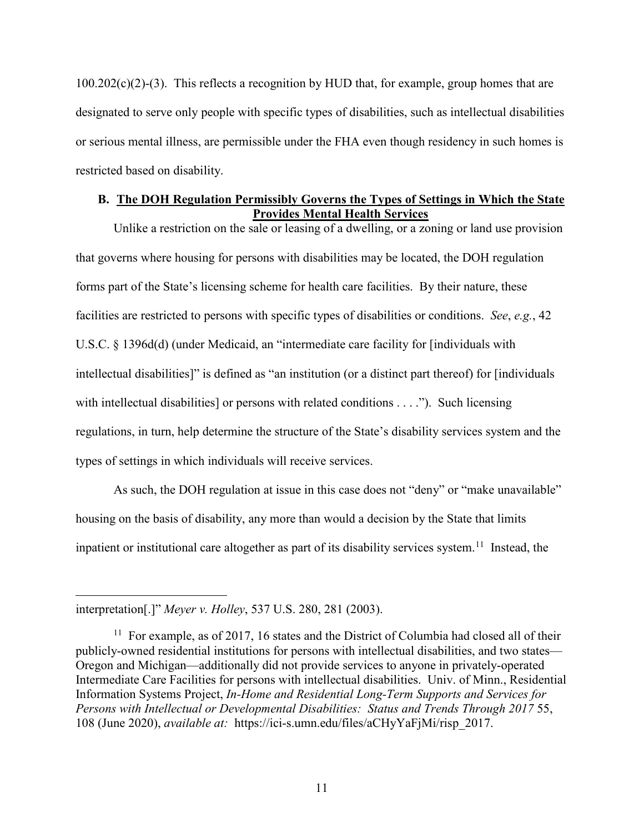$100.202(c)(2)-(3)$ . This reflects a recognition by HUD that, for example, group homes that are designated to serve only people with specific types of disabilities, such as intellectual disabilities or serious mental illness, are permissible under the FHA even though residency in such homes is restricted based on disability.

# <span id="page-12-0"></span>**B. The DOH Regulation Permissibly Governs the Types of Settings in Which the State Provides Mental Health Services**

Unlike a restriction on the sale or leasing of a dwelling, or a zoning or land use provision that governs where housing for persons with disabilities may be located, the DOH regulation forms part of the State's licensing scheme for health care facilities. By their nature, these facilities are restricted to persons with specific types of disabilities or conditions. *See*, *e.g.*, 42 U.S.C. § 1396d(d) (under Medicaid, an "intermediate care facility for [individuals with intellectual disabilities]" is defined as "an institution (or a distinct part thereof) for [individuals with intellectual disabilities] or persons with related conditions . . . ."). Such licensing regulations, in turn, help determine the structure of the State's disability services system and the types of settings in which individuals will receive services.

As such, the DOH regulation at issue in this case does not "deny" or "make unavailable" housing on the basis of disability, any more than would a decision by the State that limits inpatient or institutional care altogether as part of its disability services system.<sup>[11](#page-12-1)</sup> Instead, the

 $\overline{a}$ 

interpretation[.]" *Meyer v. Holley*, 537 U.S. 280, 281 (2003).

<span id="page-12-1"></span> $11$  For example, as of 2017, 16 states and the District of Columbia had closed all of their publicly-owned residential institutions for persons with intellectual disabilities, and two states— Oregon and Michigan—additionally did not provide services to anyone in privately-operated Intermediate Care Facilities for persons with intellectual disabilities. Univ. of Minn., Residential Information Systems Project, *In-Home and Residential Long-Term Supports and Services for Persons with Intellectual or Developmental Disabilities: Status and Trends Through 2017* 55, 108 (June 2020), *available at:* https://ici-s.umn.edu/files/aCHyYaFjMi/risp\_2017.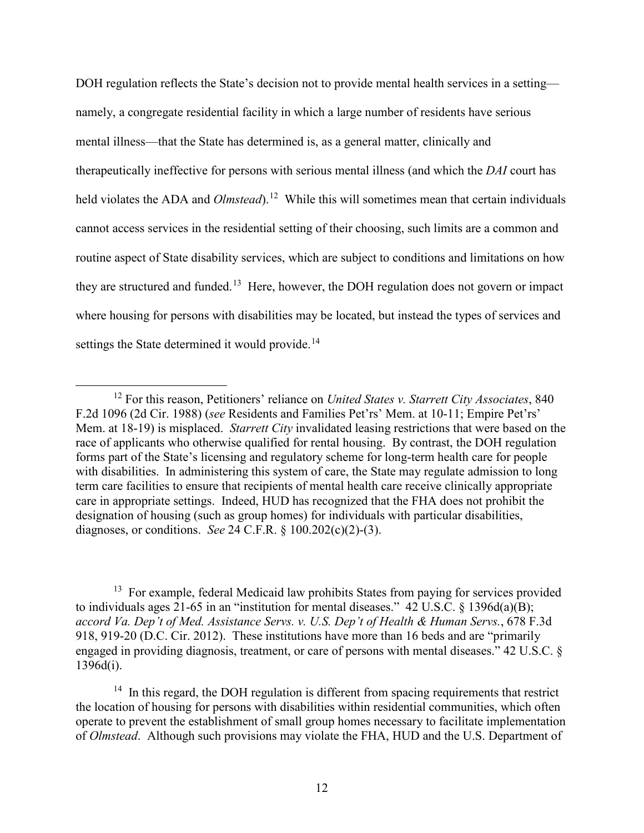DOH regulation reflects the State's decision not to provide mental health services in a setting namely, a congregate residential facility in which a large number of residents have serious mental illness—that the State has determined is, as a general matter, clinically and therapeutically ineffective for persons with serious mental illness (and which the *DAI* court has held violates the ADA and *Olmstead*).<sup>12</sup> While this will sometimes mean that certain individuals cannot access services in the residential setting of their choosing, such limits are a common and routine aspect of State disability services, which are subject to conditions and limitations on how they are structured and funded.<sup>13</sup> Here, however, the DOH regulation does not govern or impact where housing for persons with disabilities may be located, but instead the types of services and settings the State determined it would provide.<sup>[14](#page-13-2)</sup>

<span id="page-13-1"></span><sup>13</sup> For example, federal Medicaid law prohibits States from paying for services provided to individuals ages 21-65 in an "institution for mental diseases." 42 U.S.C.  $\S$  1396d(a)(B); *accord Va. Dep't of Med. Assistance Servs. v. U.S. Dep't of Health & Human Servs.*, 678 F.3d 918, 919-20 (D.C. Cir. 2012). These institutions have more than 16 beds and are "primarily engaged in providing diagnosis, treatment, or care of persons with mental diseases." 42 U.S.C. § 1396d(i).

<span id="page-13-2"></span> $14$  In this regard, the DOH regulation is different from spacing requirements that restrict the location of housing for persons with disabilities within residential communities, which often operate to prevent the establishment of small group homes necessary to facilitate implementation of *Olmstead*. Although such provisions may violate the FHA, HUD and the U.S. Department of

<span id="page-13-0"></span> <sup>12</sup> For this reason, Petitioners' reliance on *United States v. Starrett City Associates*, 840 F.2d 1096 (2d Cir. 1988) (*see* Residents and Families Pet'rs' Mem. at 10-11; Empire Pet'rs' Mem. at 18-19) is misplaced. *Starrett City* invalidated leasing restrictions that were based on the race of applicants who otherwise qualified for rental housing. By contrast, the DOH regulation forms part of the State's licensing and regulatory scheme for long-term health care for people with disabilities. In administering this system of care, the State may regulate admission to long term care facilities to ensure that recipients of mental health care receive clinically appropriate care in appropriate settings. Indeed, HUD has recognized that the FHA does not prohibit the designation of housing (such as group homes) for individuals with particular disabilities, diagnoses, or conditions. *See* 24 C.F.R. § 100.202(c)(2)-(3).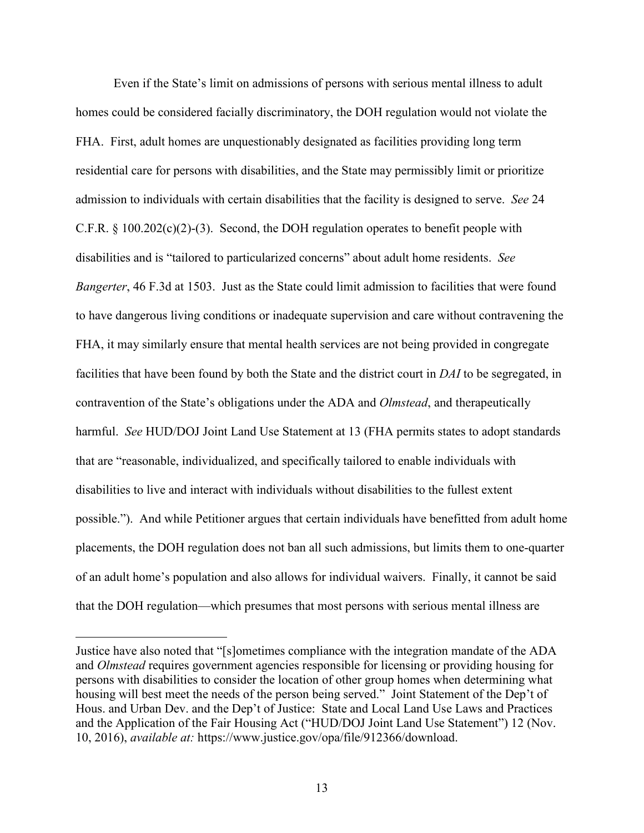Even if the State's limit on admissions of persons with serious mental illness to adult homes could be considered facially discriminatory, the DOH regulation would not violate the FHA. First, adult homes are unquestionably designated as facilities providing long term residential care for persons with disabilities, and the State may permissibly limit or prioritize admission to individuals with certain disabilities that the facility is designed to serve. *See* 24 C.F.R. § 100.202(c)(2)-(3). Second, the DOH regulation operates to benefit people with disabilities and is "tailored to particularized concerns" about adult home residents. *See Bangerter*, 46 F.3d at 1503. Just as the State could limit admission to facilities that were found to have dangerous living conditions or inadequate supervision and care without contravening the FHA, it may similarly ensure that mental health services are not being provided in congregate facilities that have been found by both the State and the district court in *DAI* to be segregated, in contravention of the State's obligations under the ADA and *Olmstead*, and therapeutically harmful. *See* HUD/DOJ Joint Land Use Statement at 13 (FHA permits states to adopt standards that are "reasonable, individualized, and specifically tailored to enable individuals with disabilities to live and interact with individuals without disabilities to the fullest extent possible."). And while Petitioner argues that certain individuals have benefitted from adult home placements, the DOH regulation does not ban all such admissions, but limits them to one-quarter of an adult home's population and also allows for individual waivers. Finally, it cannot be said that the DOH regulation—which presumes that most persons with serious mental illness are

 $\overline{a}$ 

Justice have also noted that "[s]ometimes compliance with the integration mandate of the ADA and *Olmstead* requires government agencies responsible for licensing or providing housing for persons with disabilities to consider the location of other group homes when determining what housing will best meet the needs of the person being served."Joint Statement of the Dep't of Hous. and Urban Dev. and the Dep't of Justice: State and Local Land Use Laws and Practices and the Application of the Fair Housing Act ("HUD/DOJ Joint Land Use Statement") 12 (Nov. 10, 2016), *available at:* https://www.justice.gov/opa/file/912366/download.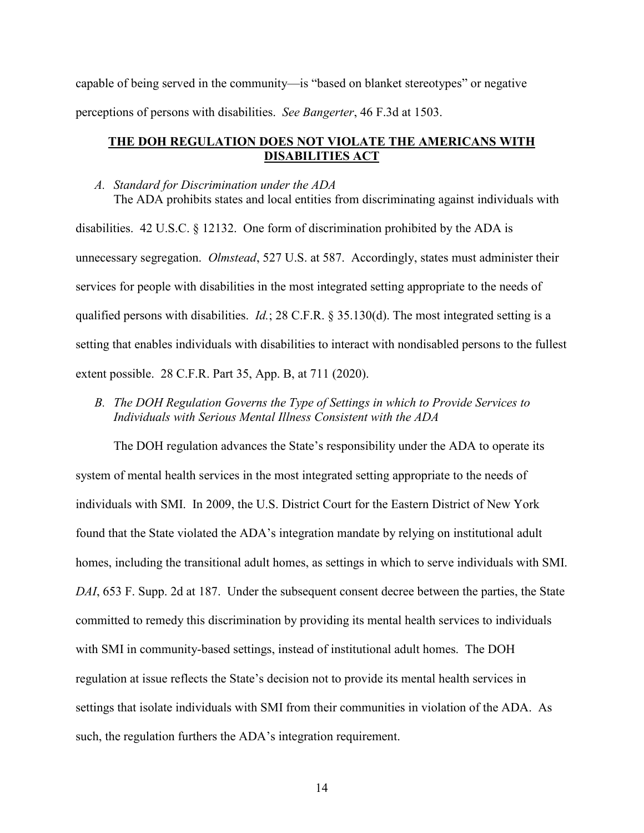capable of being served in the community—is "based on blanket stereotypes" or negative perceptions of persons with disabilities. *See Bangerter*, 46 F.3d at 1503.

# **THE DOH REGULATION DOES NOT VIOLATE THE AMERICANS WITH DISABILITIES ACT**

### *A. Standard for Discrimination under the ADA*

The ADA prohibits states and local entities from discriminating against individuals with disabilities. 42 U.S.C. § 12132. One form of discrimination prohibited by the ADA is unnecessary segregation. *Olmstead*, 527 U.S. at 587. Accordingly, states must administer their services for people with disabilities in the most integrated setting appropriate to the needs of qualified persons with disabilities. *Id.*; 28 C.F.R. § 35.130(d). The most integrated setting is a setting that enables individuals with disabilities to interact with nondisabled persons to the fullest extent possible. 28 C.F.R. Part 35, App. B, at 711 (2020).

*B. The DOH Regulation Governs the Type of Settings in which to Provide Services to Individuals with Serious Mental Illness Consistent with the ADA*

The DOH regulation advances the State's responsibility under the ADA to operate its system of mental health services in the most integrated setting appropriate to the needs of individuals with SMI. In 2009, the U.S. District Court for the Eastern District of New York found that the State violated the ADA's integration mandate by relying on institutional adult homes, including the transitional adult homes, as settings in which to serve individuals with SMI. *DAI*, 653 F. Supp. 2d at 187. Under the subsequent consent decree between the parties, the State committed to remedy this discrimination by providing its mental health services to individuals with SMI in community-based settings, instead of institutional adult homes. The DOH regulation at issue reflects the State's decision not to provide its mental health services in settings that isolate individuals with SMI from their communities in violation of the ADA. As such, the regulation furthers the ADA's integration requirement.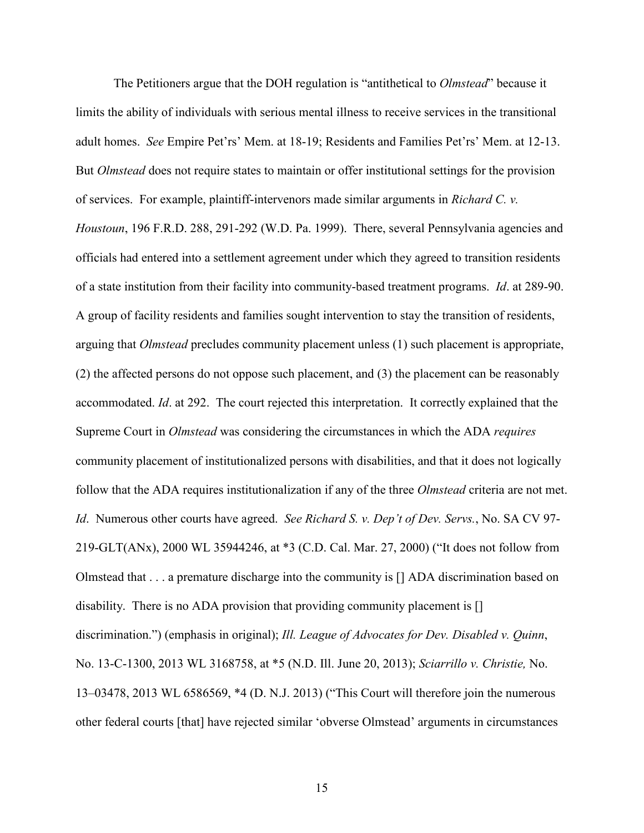The Petitioners argue that the DOH regulation is "antithetical to *Olmstead*" because it limits the ability of individuals with serious mental illness to receive services in the transitional adult homes. *See* Empire Pet'rs' Mem. at 18-19; Residents and Families Pet'rs' Mem. at 12-13. But *Olmstead* does not require states to maintain or offer institutional settings for the provision of services. For example, plaintiff-intervenors made similar arguments in *Richard C. v. Houstoun*, 196 F.R.D. 288, 291-292 (W.D. Pa. 1999). There, several Pennsylvania agencies and officials had entered into a settlement agreement under which they agreed to transition residents of a state institution from their facility into community-based treatment programs. *Id*. at 289-90. A group of facility residents and families sought intervention to stay the transition of residents, arguing that *Olmstead* precludes community placement unless (1) such placement is appropriate, (2) the affected persons do not oppose such placement, and (3) the placement can be reasonably accommodated. *Id*. at 292. The court rejected this interpretation. It correctly explained that the Supreme Court in *Olmstead* was considering the circumstances in which the ADA *requires* community placement of institutionalized persons with disabilities, and that it does not logically follow that the ADA requires institutionalization if any of the three *Olmstead* criteria are not met. *Id*. Numerous other courts have agreed. *See Richard S. v. Dep't of Dev. Servs.*, No. SA CV 97- 219-GLT(ANx), 2000 WL 35944246, at \*3 (C.D. Cal. Mar. 27, 2000) ("It does not follow from Olmstead that . . . a premature discharge into the community is [] ADA discrimination based on disability. There is no ADA provision that providing community placement is [] discrimination.") (emphasis in original); *Ill. League of Advocates for Dev. Disabled v. Quinn*, No. 13-C-1300, 2013 WL 3168758, at \*5 (N.D. Ill. June 20, 2013); *Sciarrillo v. Christie,* No. 13–03478, 2013 WL 6586569, \*4 (D. N.J. 2013) ("This Court will therefore join the numerous other federal courts [that] have rejected similar 'obverse Olmstead' arguments in circumstances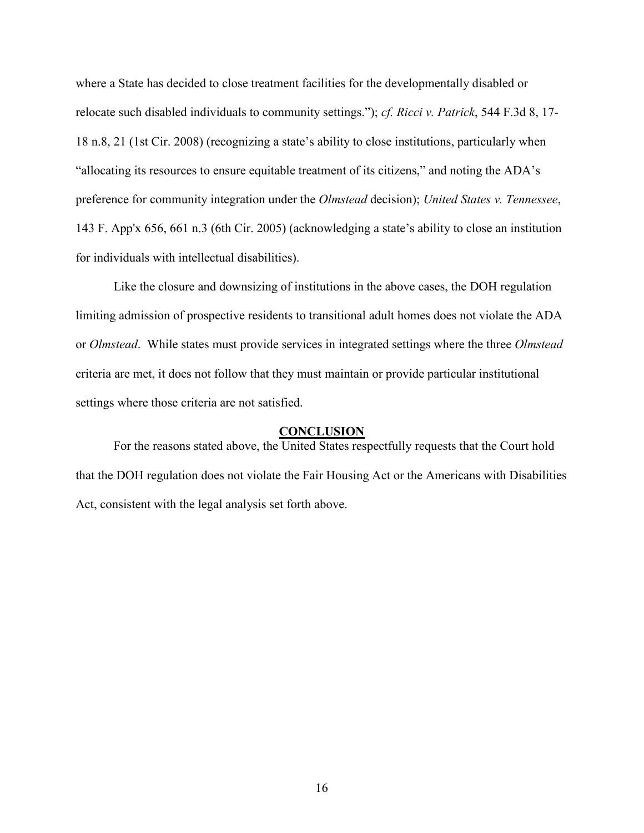where a State has decided to close treatment facilities for the developmentally disabled or relocate such disabled individuals to community settings."); *cf. Ricci v. Patrick*, 544 F.3d 8, 17- 18 n.8, 21 (1st Cir. 2008) (recognizing a state's ability to close institutions, particularly when "allocating its resources to ensure equitable treatment of its citizens," and noting the ADA's preference for community integration under the *Olmstead* decision); *United States v. Tennessee*, 143 F. App'x 656, 661 n.3 (6th Cir. 2005) (acknowledging a state's ability to close an institution for individuals with intellectual disabilities).

Like the closure and downsizing of institutions in the above cases, the DOH regulation limiting admission of prospective residents to transitional adult homes does not violate the ADA or *Olmstead*. While states must provide services in integrated settings where the three *Olmstead*  criteria are met, it does not follow that they must maintain or provide particular institutional settings where those criteria are not satisfied.

## **CONCLUSION**

<span id="page-17-0"></span>For the reasons stated above, the United States respectfully requests that the Court hold that the DOH regulation does not violate the Fair Housing Act or the Americans with Disabilities Act, consistent with the legal analysis set forth above.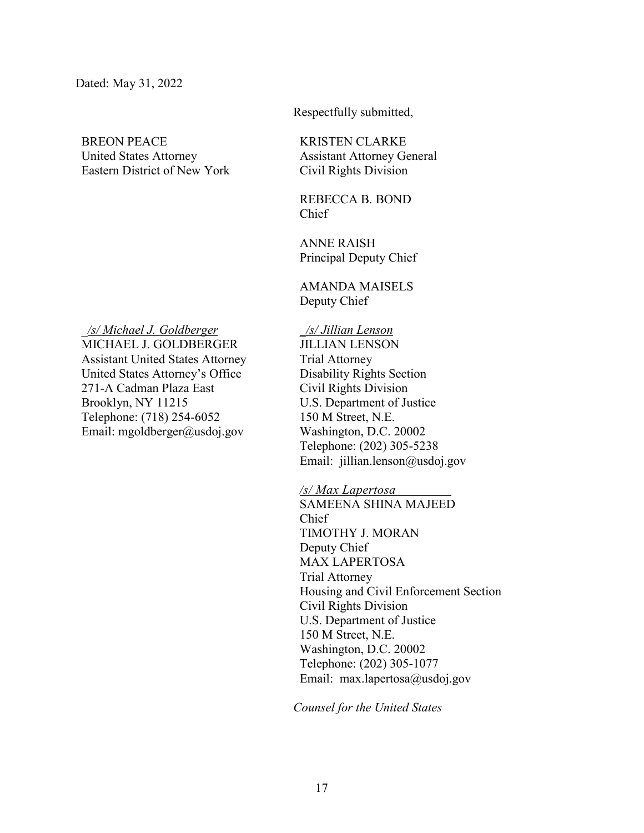BREON PEACE United States Attorney Eastern District of New York

*\_/s/ Michael J. Goldberger*  MICHAEL J. GOLDBERGER Assistant United States Attorney United States Attorney's Office 271-A Cadman Plaza East Brooklyn, NY 11215 Telephone: (718) 254-6052 Email: mgoldberger@usdoj.gov

Respectfully submitted,

KRISTEN CLARKE Assistant Attorney General Civil Rights Division

REBECCA B. BOND Chief

ANNE RAISH Principal Deputy Chief

AMANDA MAISELS Deputy Chief

\_*/s/ Jillian Lenson* JILLIAN LENSON Trial Attorney Disability Rights Section Civil Rights Division U.S. Department of Justice 150 M Street, N.E. Washington, D.C. 20002 Telephone: (202) 305-5238 Email: jillian.lenson@usdoj.gov

*/s/ Max Lapertosa*

SAMEENA SHINA MAJEED Chief TIMOTHY J. MORAN Deputy Chief MAX LAPERTOSA Trial Attorney Housing and Civil Enforcement Section Civil Rights Division U.S. Department of Justice 150 M Street, N.E. Washington, D.C. 20002 Telephone: (202) 305-1077 Email: max.lapertosa@usdoj.gov

*Counsel for the United States*